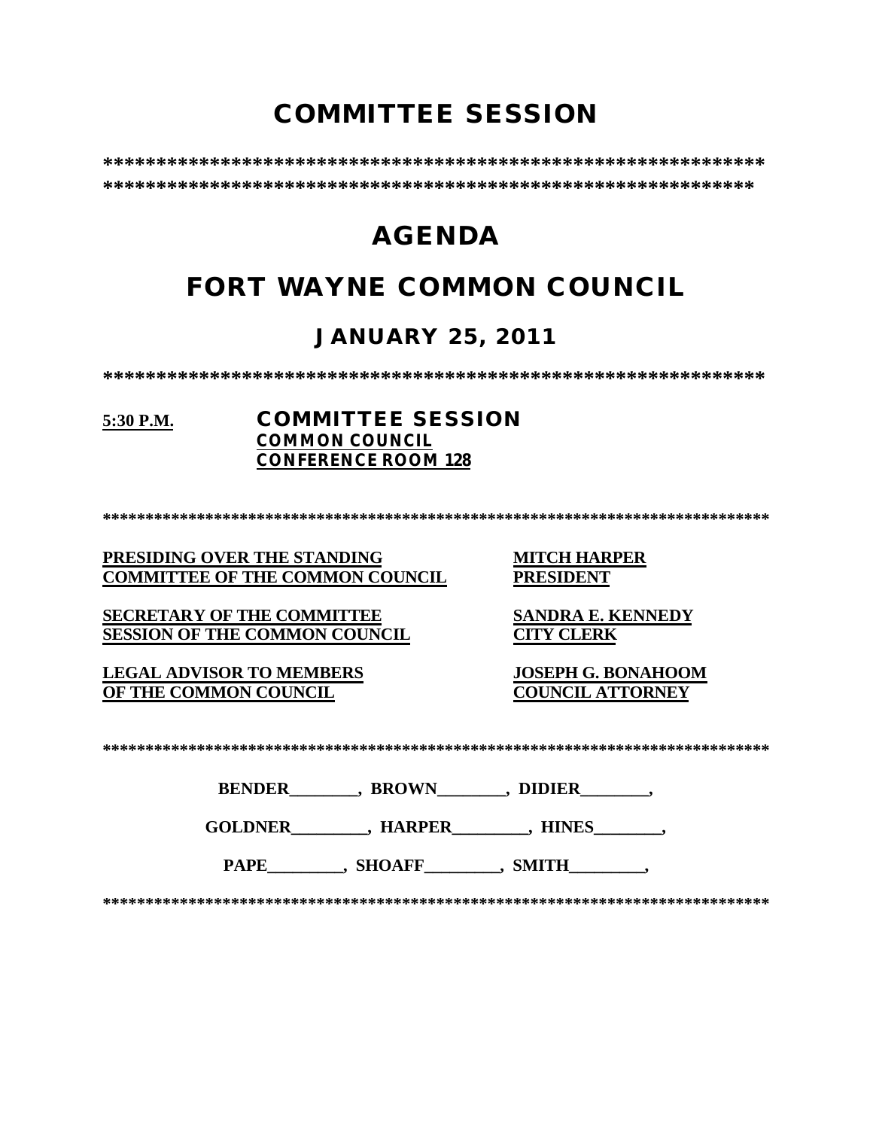# **COMMITTEE SESSION**

**\*\*\*\*\*\*\*\*\*\*\*\*\*\*\*\*\*\*\*\*\*\*\*\*\*\*\*\*\*\*\*\*\*\*\*\*\*\*\*\*\*\*\*\*\*\*\*\*\*\*\*\*\*\*\*\*\*\*\*\*\*\* \*\*\*\*\*\*\*\*\*\*\*\*\*\*\*\*\*\*\*\*\*\*\*\*\*\*\*\*\*\*\*\*\*\*\*\*\*\*\*\*\*\*\*\*\*\*\*\*\*\*\*\*\*\*\*\*\*\*\*\*\***

# **AGENDA**

# **FORT WAYNE COMMON COUNCIL**

### **JANUARY 25, 2011**

**\*\*\*\*\*\*\*\*\*\*\*\*\*\*\*\*\*\*\*\*\*\*\*\*\*\*\*\*\*\*\*\*\*\*\*\*\*\*\*\*\*\*\*\*\*\*\*\*\*\*\*\*\*\*\*\*\*\*\*\*\*\***

#### **5:30 P.M. COMMITTEE SESSION COMMON COUNCIL CONFERENCE ROOM 128**

**\*\*\*\*\*\*\*\*\*\*\*\*\*\*\*\*\*\*\*\*\*\*\*\*\*\*\*\*\*\*\*\*\*\*\*\*\*\*\*\*\*\*\*\*\*\*\*\*\*\*\*\*\*\*\*\*\*\*\*\*\*\*\*\*\*\*\*\*\*\*\*\*\*\*\*\*\*\***

#### **PRESIDING OVER THE STANDING MITCH HARPER COMMITTEE OF THE COMMON COUNCIL**

**SECRETARY OF THE COMMITTEE SANDRA E. KENNEDY SESSION OF THE COMMON COUNCIL CITY CLERK**

**LEGAL ADVISOR TO MEMBERS JOSEPH G. BONAHOOM OF THE COMMON COUNCIL** 

**\*\*\*\*\*\*\*\*\*\*\*\*\*\*\*\*\*\*\*\*\*\*\*\*\*\*\*\*\*\*\*\*\*\*\*\*\*\*\*\*\*\*\*\*\*\*\*\*\*\*\*\*\*\*\*\*\*\*\*\*\*\*\*\*\*\*\*\*\*\*\*\*\*\*\*\*\*\***

| <b>BENDER</b> | <b>BROWN</b> | <b>DIDIER</b> |
|---------------|--------------|---------------|
|               |              |               |

**GOLDNER\_\_\_\_\_\_\_\_\_, HARPER\_\_\_\_\_\_\_\_\_, HINES\_\_\_\_\_\_\_\_,** 

PAPE\_\_\_\_\_\_\_\_\_, SHOAFF\_\_\_\_\_\_\_\_, SMITH\_\_\_\_\_\_\_\_,

**\*\*\*\*\*\*\*\*\*\*\*\*\*\*\*\*\*\*\*\*\*\*\*\*\*\*\*\*\*\*\*\*\*\*\*\*\*\*\*\*\*\*\*\*\*\*\*\*\*\*\*\*\*\*\*\*\*\*\*\*\*\*\*\*\*\*\*\*\*\*\*\*\*\*\*\*\*\***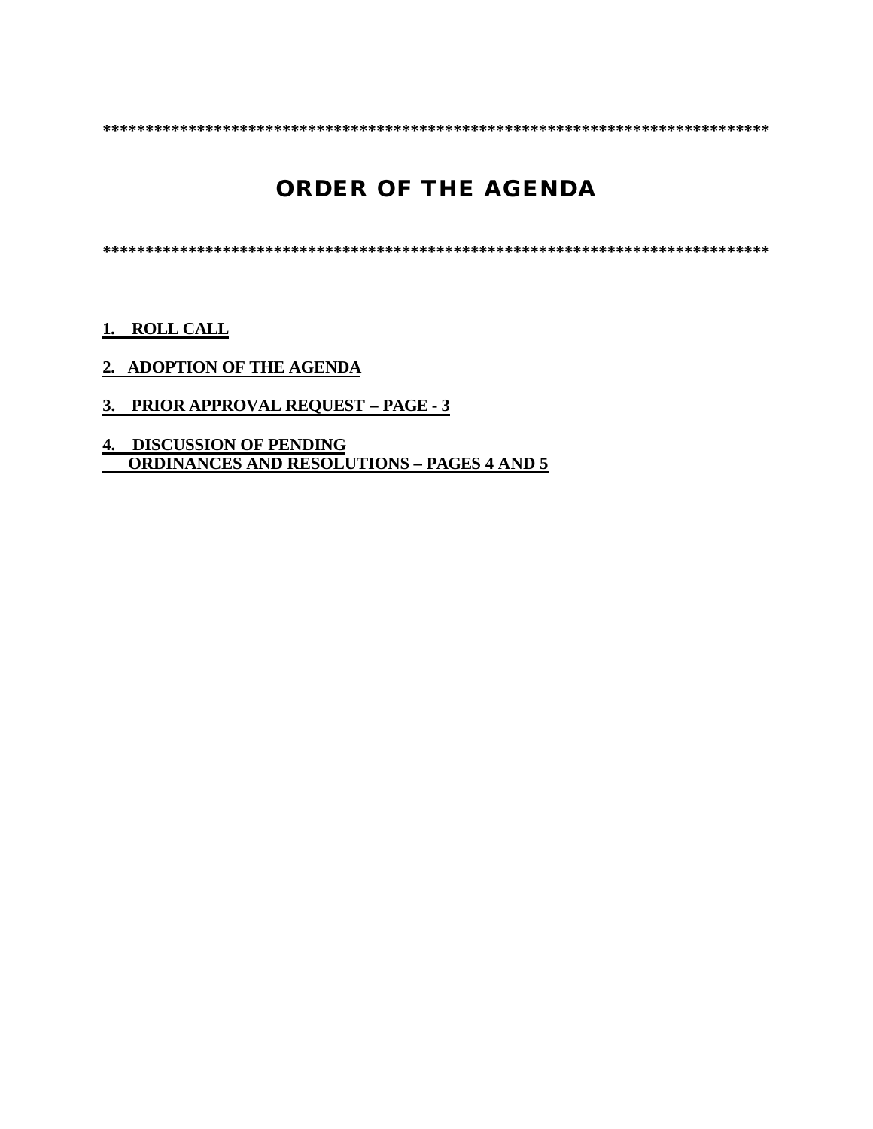**\*\*\*\*\*\*\*\*\*\*\*\*\*\*\*\*\*\*\*\*\*\*\*\*\*\*\*\*\*\*\*\*\*\*\*\*\*\*\*\*\*\*\*\*\*\*\*\*\*\*\*\*\*\*\*\*\*\*\*\*\*\*\*\*\*\*\*\*\*\*\*\*\*\*\*\*\*\***

# **ORDER OF THE AGENDA**

**\*\*\*\*\*\*\*\*\*\*\*\*\*\*\*\*\*\*\*\*\*\*\*\*\*\*\*\*\*\*\*\*\*\*\*\*\*\*\*\*\*\*\*\*\*\*\*\*\*\*\*\*\*\*\*\*\*\*\*\*\*\*\*\*\*\*\*\*\*\*\*\*\*\*\*\*\*\***

**1. ROLL CALL**

- **2. ADOPTION OF THE AGENDA**
- **3. PRIOR APPROVAL REQUEST PAGE 3**
- **4. DISCUSSION OF PENDING ORDINANCES AND RESOLUTIONS – PAGES 4 AND 5**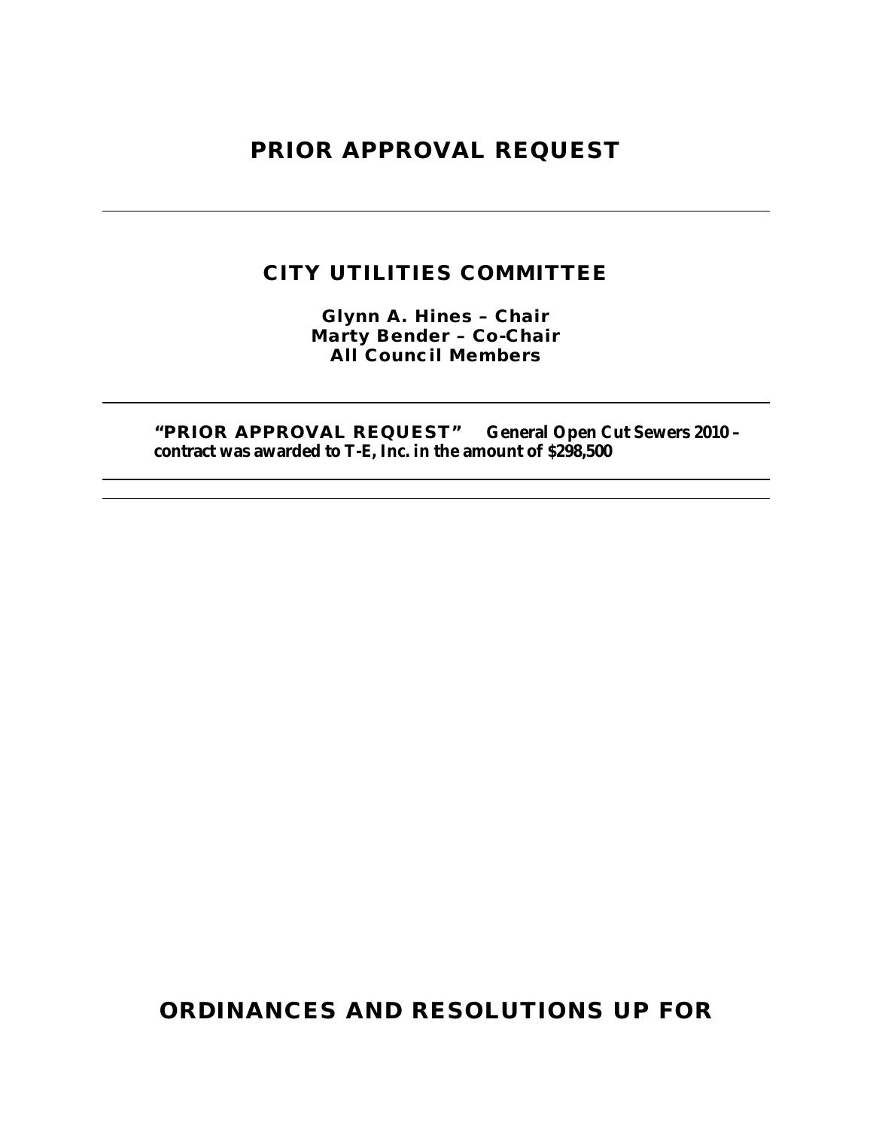### **PRIOR APPROVAL REQUEST**

### **CITY UTILITIES COMMITTEE**

**Glynn A. Hines – Chair Marty Bender – Co-Chair All Council Members**

**"PRIOR APPROVAL REQUEST" General Open Cut Sewers 2010 – contract was awarded to T-E, Inc. in the amount of \$298,500**

**ORDINANCES AND RESOLUTIONS UP FOR**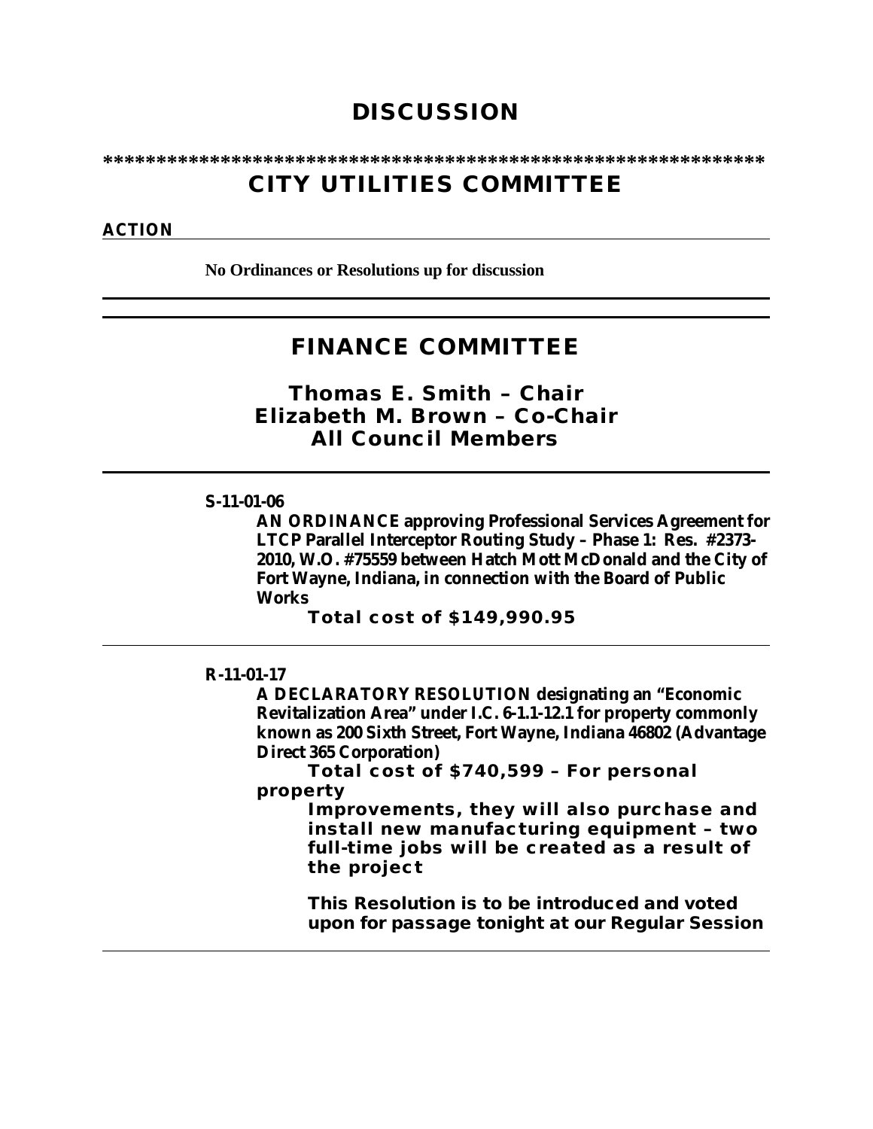## **DISCUSSION**

**\*\*\*\*\*\*\*\*\*\*\*\*\*\*\*\*\*\*\*\*\*\*\*\*\*\*\*\*\*\*\*\*\*\*\*\*\*\*\*\*\*\*\*\*\*\*\*\*\*\*\*\*\*\*\*\*\*\*\*\*\*\***

## **CITY UTILITIES COMMITTEE**

#### **ACTION**

**No Ordinances or Resolutions up for discussion**

### **FINANCE COMMITTEE**

*Thomas E. Smith – Chair Elizabeth M. Brown – Co-Chair All Council Members*

#### **S-11-01-06**

**AN ORDINANCE approving Professional Services Agreement for LTCP Parallel Interceptor Routing Study – Phase 1: Res. #2373- 2010, W.O. #75559 between Hatch Mott McDonald and the City of Fort Wayne, Indiana, in connection with the Board of Public Works** 

**Total cost of \$149,990.95**

#### **R-11-01-17**

**A DECLARATORY RESOLUTION designating an "Economic Revitalization Area" under I.C. 6-1.1-12.1 for property commonly known as 200 Sixth Street, Fort Wayne, Indiana 46802 (Advantage Direct 365 Corporation)**

**Total cost of \$740,599 – For personal property** 

> **Improvements, they will also purchase and install new manufacturing equipment – two full-time jobs will be created as a result of the project**

**This Resolution is to be introduced and voted upon for passage tonight at our Regular Session**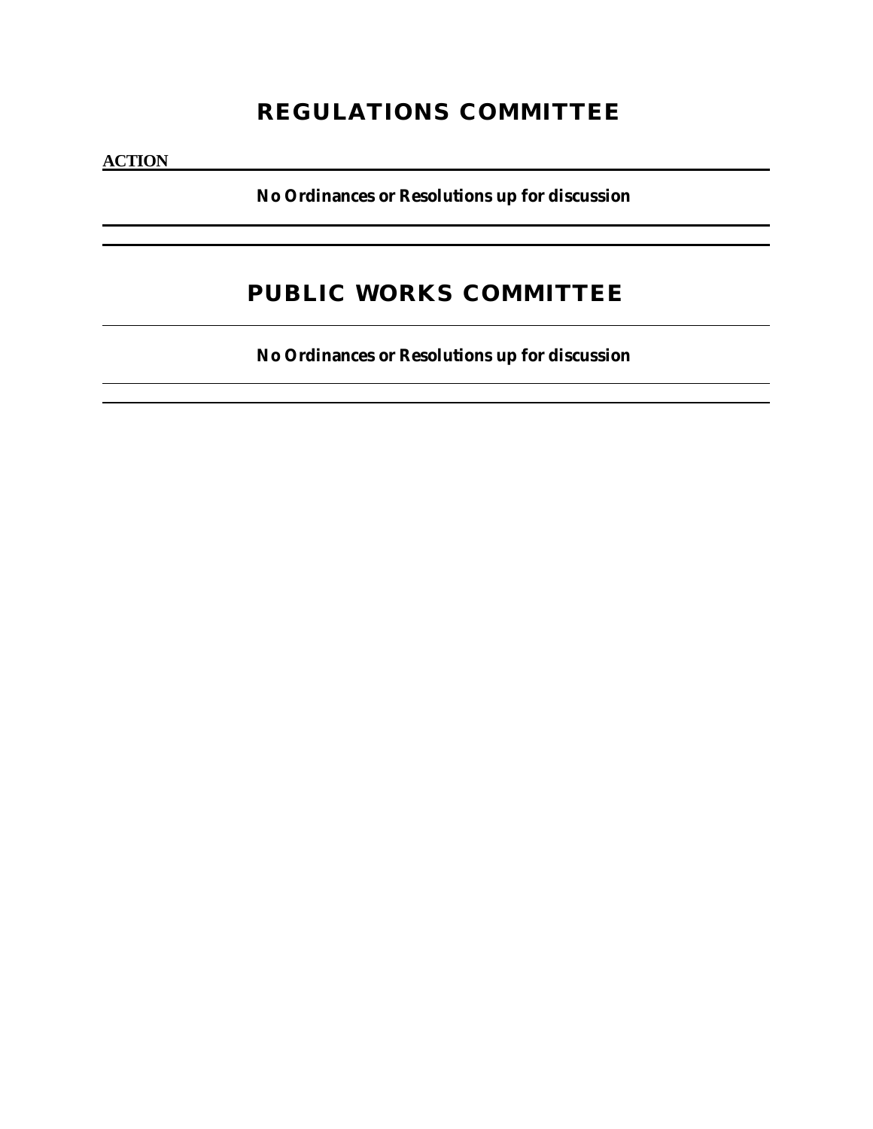# **REGULATIONS COMMITTEE**

**ACTION**

**No Ordinances or Resolutions up for discussion** 

# **PUBLIC WORKS COMMITTEE**

**No Ordinances or Resolutions up for discussion**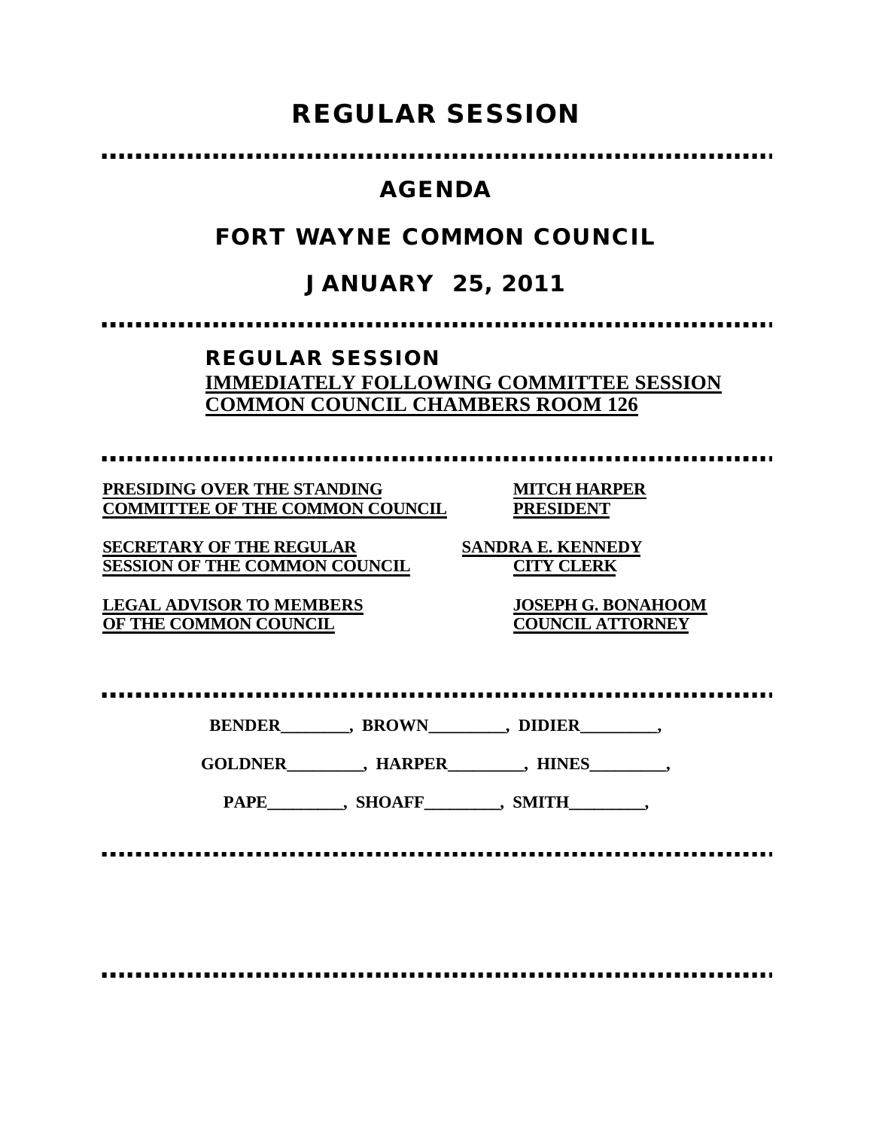# **REGULAR SESSION**

### **AGENDA**

## **FORT WAYNE COMMON COUNCIL**

# **JANUARY 25, 2011**

### **REGULAR SESSION IMMEDIATELY FOLLOWING COMMITTEE SESSION COMMON COUNCIL CHAMBERS ROOM 126**

**PRESIDING OVER THE STANDING MITCH HARPER COMMITTEE OF THE COMMON COUNCIL PRESIDENT**

**SECRETARY OF THE REGULAR SANDRA E. KENNEDY SESSION OF THE COMMON COUNCIL CITY CLERK**

**LEGAL ADVISOR TO MEMBERS JOSEPH G. BONAHOOM OF THE COMMON COUNCIL COUNCIL ATTORNEY**

**BENDER\_\_\_\_\_\_\_\_, BROWN\_\_\_\_\_\_\_\_\_, DIDIER\_\_\_\_\_\_\_\_\_,**

**GOLDNER\_\_\_\_\_\_\_\_\_, HARPER\_\_\_\_\_\_\_\_\_, HINES\_\_\_\_\_\_\_\_\_,**

PAPE\_\_\_\_\_\_\_\_, SHOAFF\_\_\_\_\_\_\_\_, SMITH\_\_\_\_\_\_\_\_,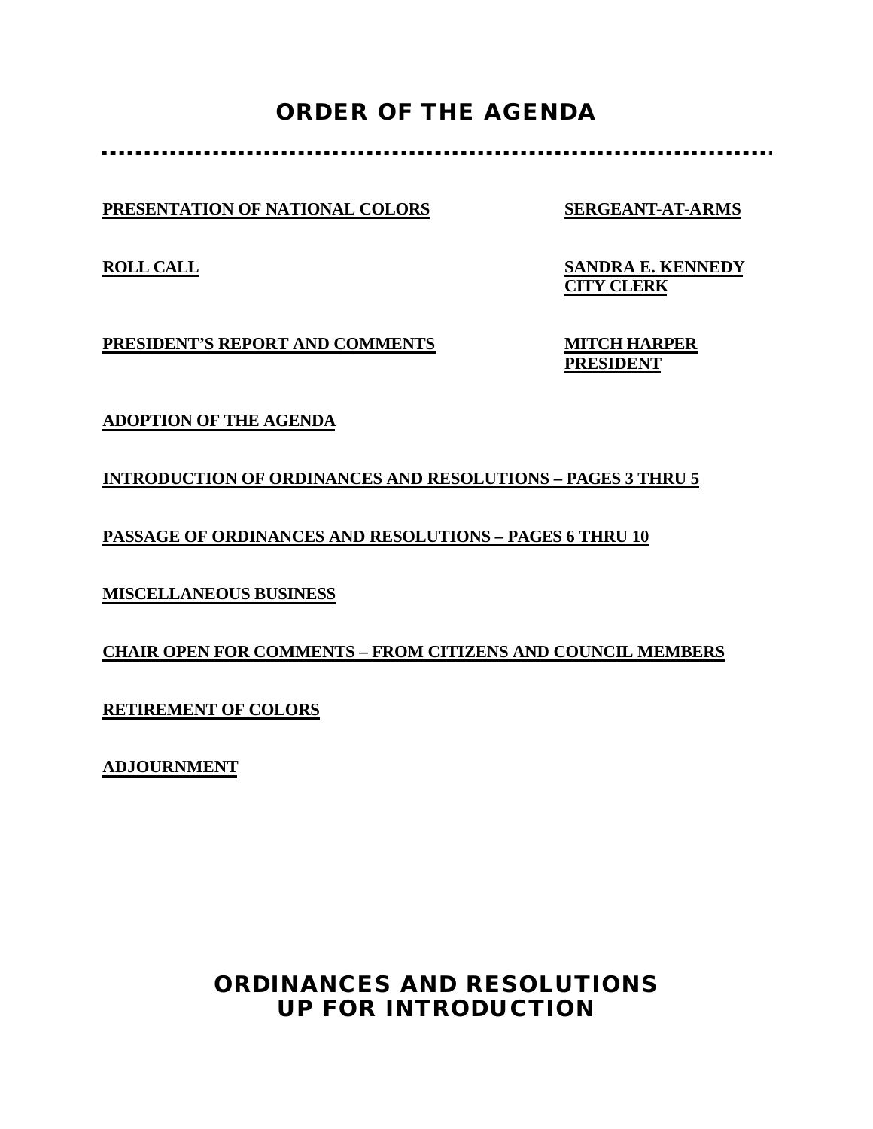# **ORDER OF THE AGENDA**

**PRESENTATION OF NATIONAL COLORS SERGEANT-AT-ARMS**

**ROLL CALL SANDRA E. KENNEDY CITY CLERK**

**PRESIDENT'S REPORT AND COMMENTS MITCH HARPER**

**PRESIDENT**

**ADOPTION OF THE AGENDA**

**INTRODUCTION OF ORDINANCES AND RESOLUTIONS – PAGES 3 THRU 5**

**PASSAGE OF ORDINANCES AND RESOLUTIONS – PAGES 6 THRU 10**

**MISCELLANEOUS BUSINESS**

**CHAIR OPEN FOR COMMENTS – FROM CITIZENS AND COUNCIL MEMBERS**

**RETIREMENT OF COLORS**

**ADJOURNMENT**

## **ORDINANCES AND RESOLUTIONS UP FOR INTRODUCTION**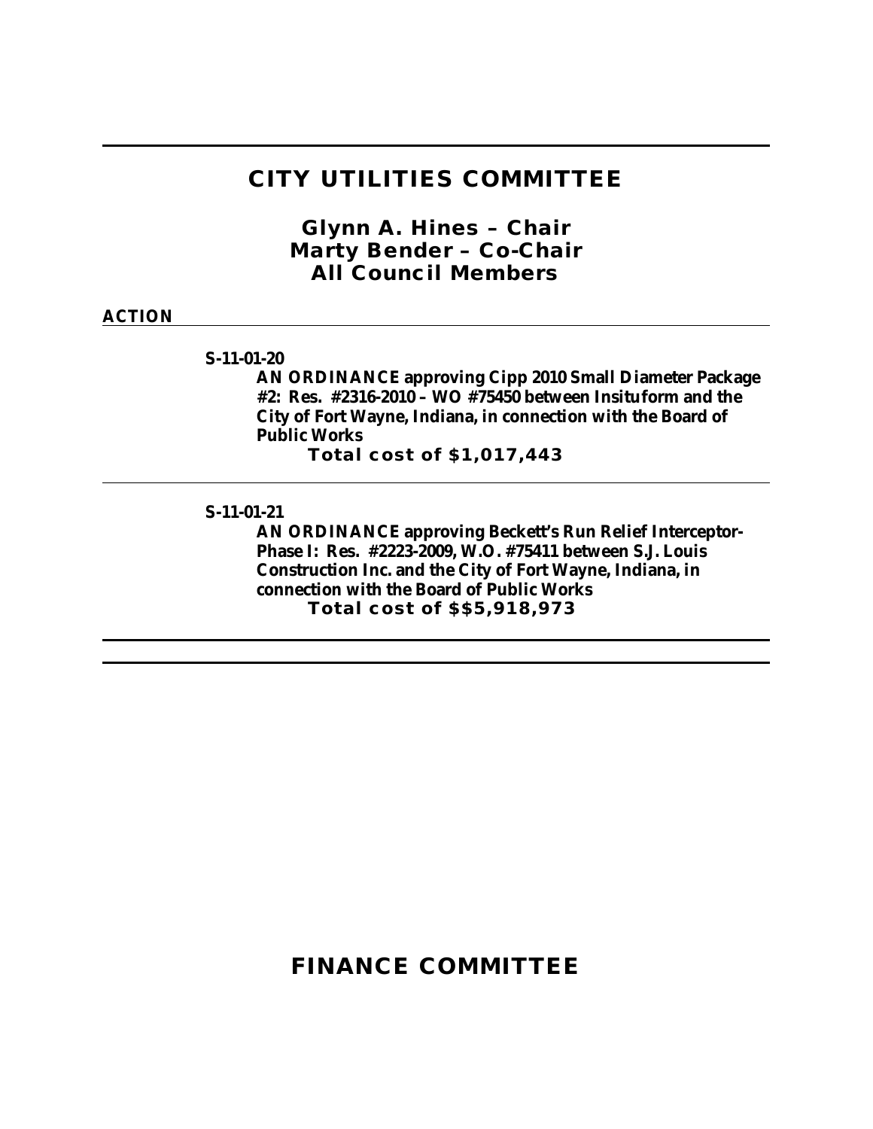### **CITY UTILITIES COMMITTEE**

*Glynn A. Hines – Chair Marty Bender – Co-Chair All Council Members*

#### **ACTION**

**S-11-01-20**

**AN ORDINANCE approving Cipp 2010 Small Diameter Package #2: Res. #2316-2010 – WO #75450 between Insituform and the City of Fort Wayne, Indiana, in connection with the Board of Public Works**

**Total cost of \$1,017,443**

**S-11-01-21**

**AN ORDINANCE approving Beckett's Run Relief Interceptor-Phase I: Res. #2223-2009, W.O. #75411 between S.J. Louis Construction Inc. and the City of Fort Wayne, Indiana, in connection with the Board of Public Works Total cost of \$\$5,918,973**

### **FINANCE COMMITTEE**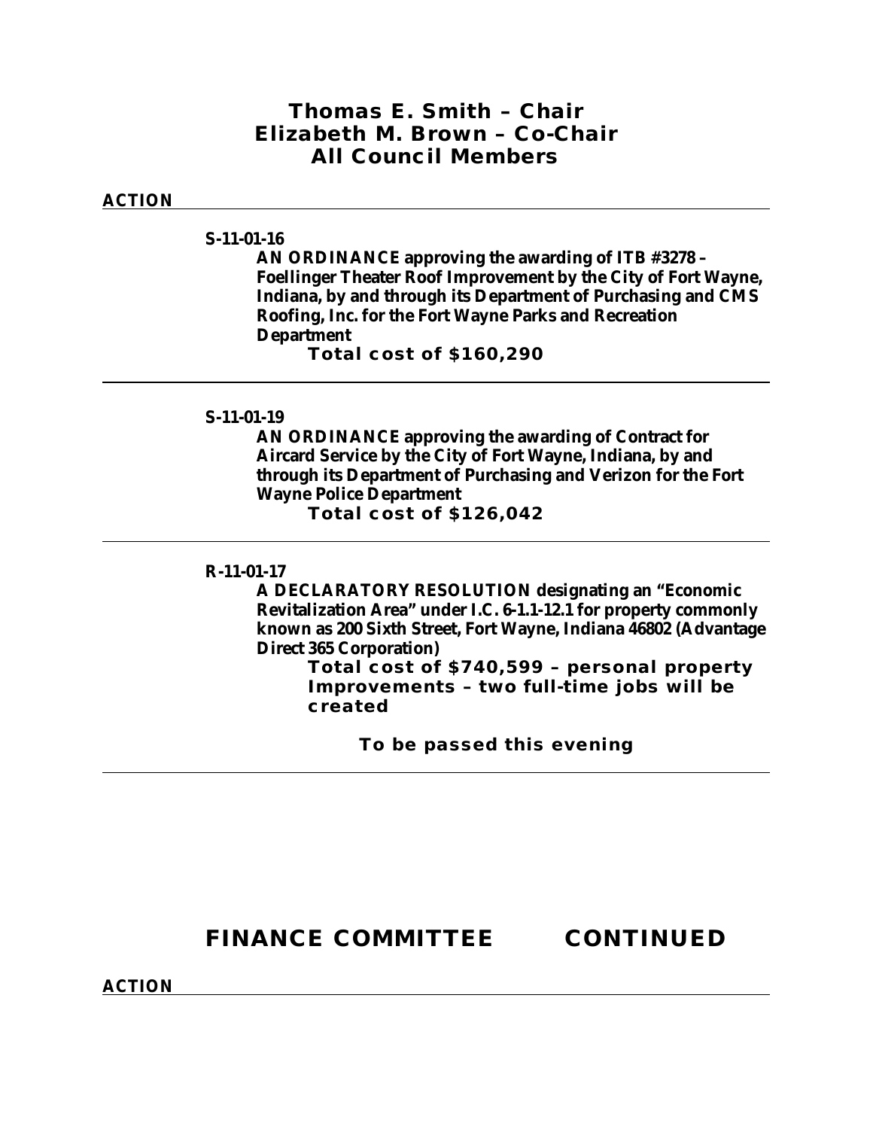### *Thomas E. Smith – Chair Elizabeth M. Brown – Co-Chair All Council Members*

#### **ACTION**

#### **S-11-01-16**

**AN ORDINANCE approving the awarding of ITB #3278 – Foellinger Theater Roof Improvement by the City of Fort Wayne, Indiana, by and through its Department of Purchasing and CMS Roofing, Inc. for the Fort Wayne Parks and Recreation Department**

**Total cost of \$160,290**

#### **S-11-01-19**

**AN ORDINANCE approving the awarding of Contract for Aircard Service by the City of Fort Wayne, Indiana, by and through its Department of Purchasing and Verizon for the Fort Wayne Police Department**

**Total cost of \$126,042**

#### **R-11-01-17**

**A DECLARATORY RESOLUTION designating an "Economic Revitalization Area" under I.C. 6-1.1-12.1 for property commonly known as 200 Sixth Street, Fort Wayne, Indiana 46802 (Advantage Direct 365 Corporation)**

> **Total cost of \$740,599 – personal property Improvements – two full-time jobs will be created**

> > **To be passed this evening**

## **FINANCE COMMITTEE CONTINUED**

**ACTION**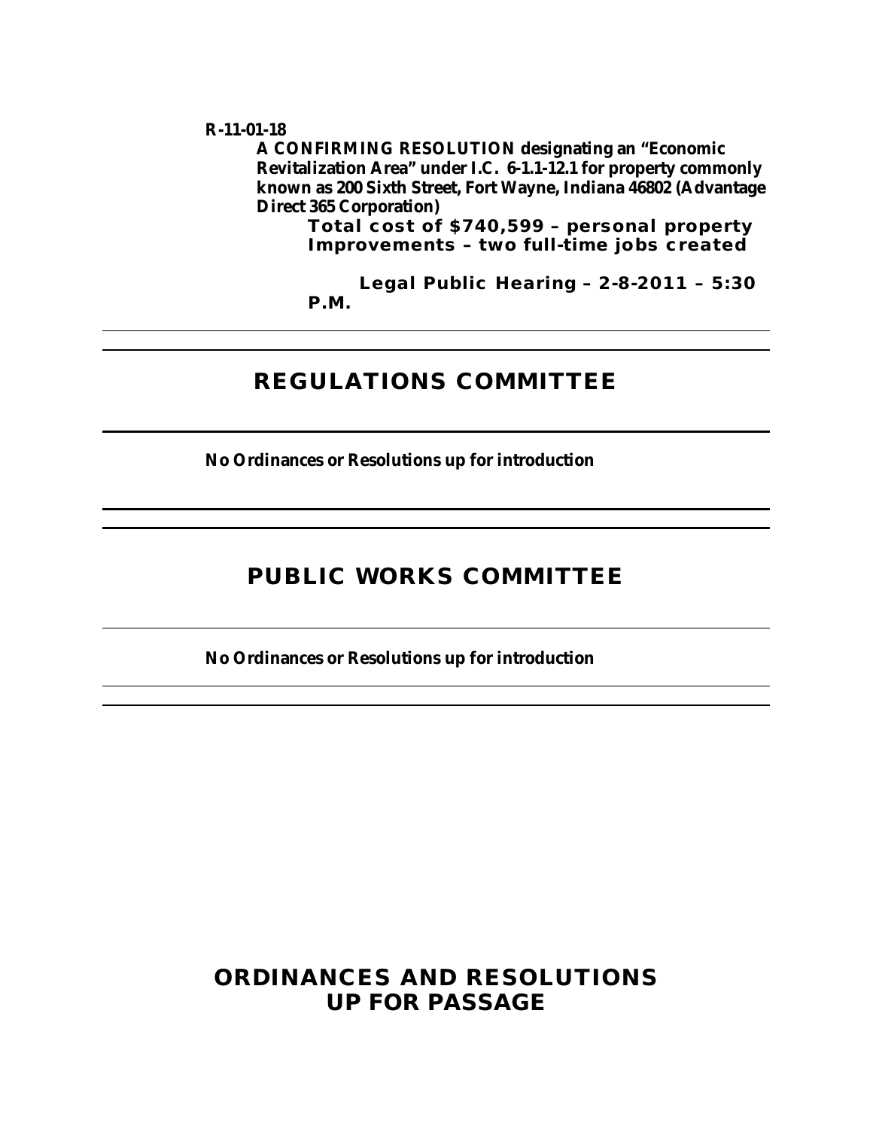#### **R-11-01-18**

**A CONFIRMING RESOLUTION designating an "Economic Revitalization Area" under I.C. 6-1.1-12.1 for property commonly known as 200 Sixth Street, Fort Wayne, Indiana 46802 (Advantage Direct 365 Corporation)**

**Total cost of \$740,599 – personal property Improvements – two full-time jobs created**

**Legal Public Hearing – 2-8-2011 – 5:30 P.M.**

### **REGULATIONS COMMITTEE**

**No Ordinances or Resolutions up for introduction**

### **PUBLIC WORKS COMMITTEE**

**No Ordinances or Resolutions up for introduction**

### **ORDINANCES AND RESOLUTIONS UP FOR PASSAGE**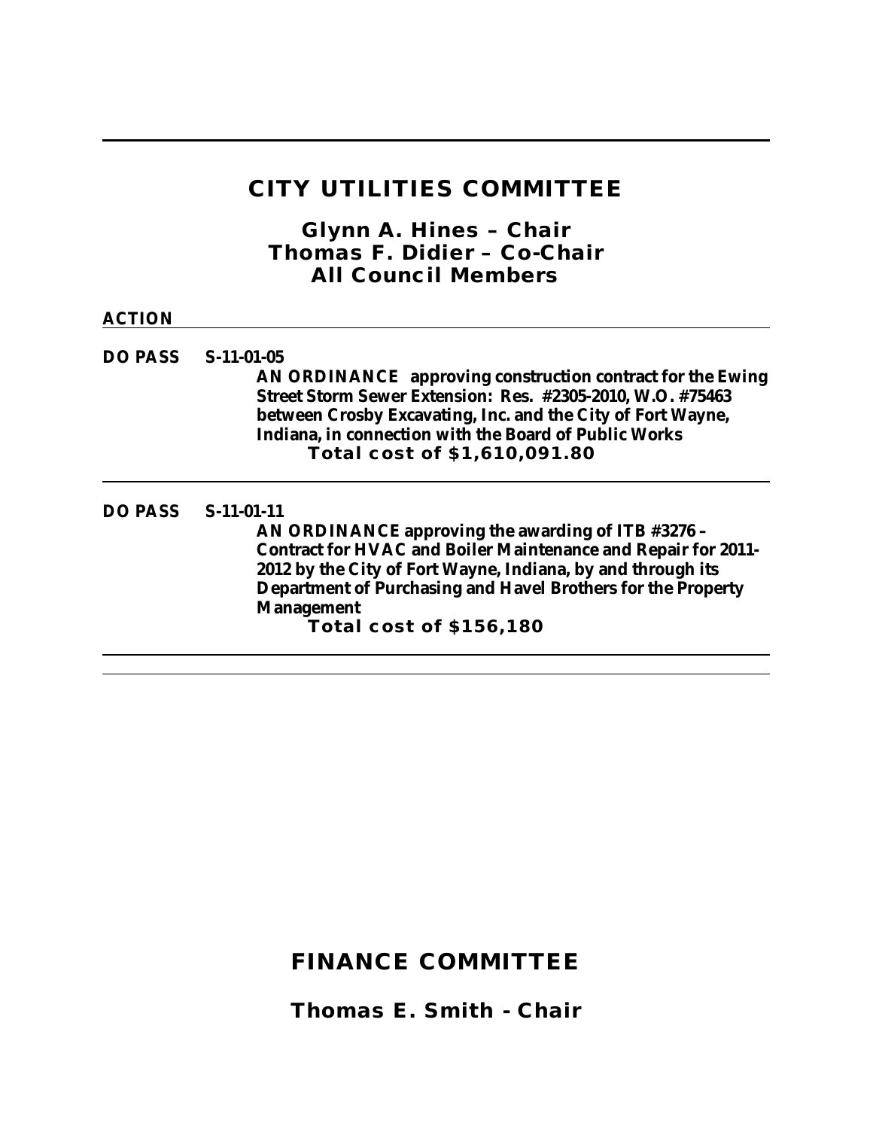## **CITY UTILITIES COMMITTEE**

*Glynn A. Hines – Chair Thomas F. Didier – Co-Chair All Council Members*

| <b>ACTION</b> |                                                                                                                                                                                                                                                                                                                                  |
|---------------|----------------------------------------------------------------------------------------------------------------------------------------------------------------------------------------------------------------------------------------------------------------------------------------------------------------------------------|
| DO PASS       | $S-11-01-05$<br>AN ORDINANCE approving construction contract for the Ewing<br>Street Storm Sewer Extension: Res. #2305-2010, W.O. #75463<br>between Crosby Excavating, Inc. and the City of Fort Wayne,<br>Indiana, in connection with the Board of Public Works<br>Total cost of \$1,610,091.80                                 |
| DO PASS       | $S-11-01-11$<br>AN ORDINANCE approving the awarding of ITB #3276 -<br><b>Contract for HVAC and Boiler Maintenance and Repair for 2011-</b><br>2012 by the City of Fort Wayne, Indiana, by and through its<br>Department of Purchasing and Havel Brothers for the Property<br><b>Management</b><br><b>Total cost of \$156,180</b> |

## **FINANCE COMMITTEE**

*Thomas E. Smith - Chair*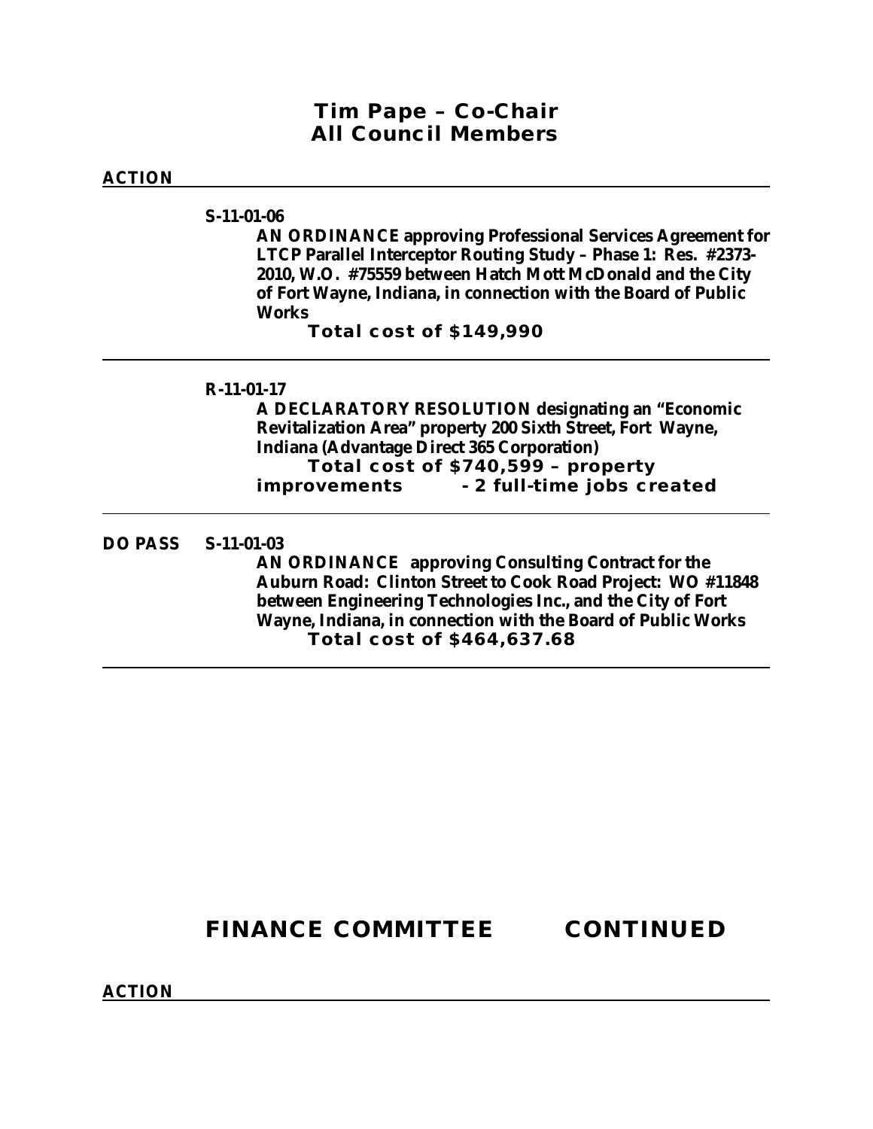### *Tim Pape – Co-Chair All Council Members*

#### **ACTION**

**S-11-01-06**

**AN ORDINANCE approving Professional Services Agreement for LTCP Parallel Interceptor Routing Study – Phase 1: Res. #2373- 2010, W.O. #75559 between Hatch Mott McDonald and the City of Fort Wayne, Indiana, in connection with the Board of Public Works**

**Total cost of \$149,990**

#### **R-11-01-17**

**A DECLARATORY RESOLUTION designating an "Economic Revitalization Area" property 200 Sixth Street, Fort Wayne, Indiana (Advantage Direct 365 Corporation) Total cost of \$740,599 – property improvements - 2 full-time jobs created**

#### **DO PASS S-11-01-03**

**AN ORDINANCE approving Consulting Contract for the Auburn Road: Clinton Street to Cook Road Project: WO #11848 between Engineering Technologies Inc., and the City of Fort Wayne, Indiana, in connection with the Board of Public Works Total cost of \$464,637.68**

# **FINANCE COMMITTEE CONTINUED**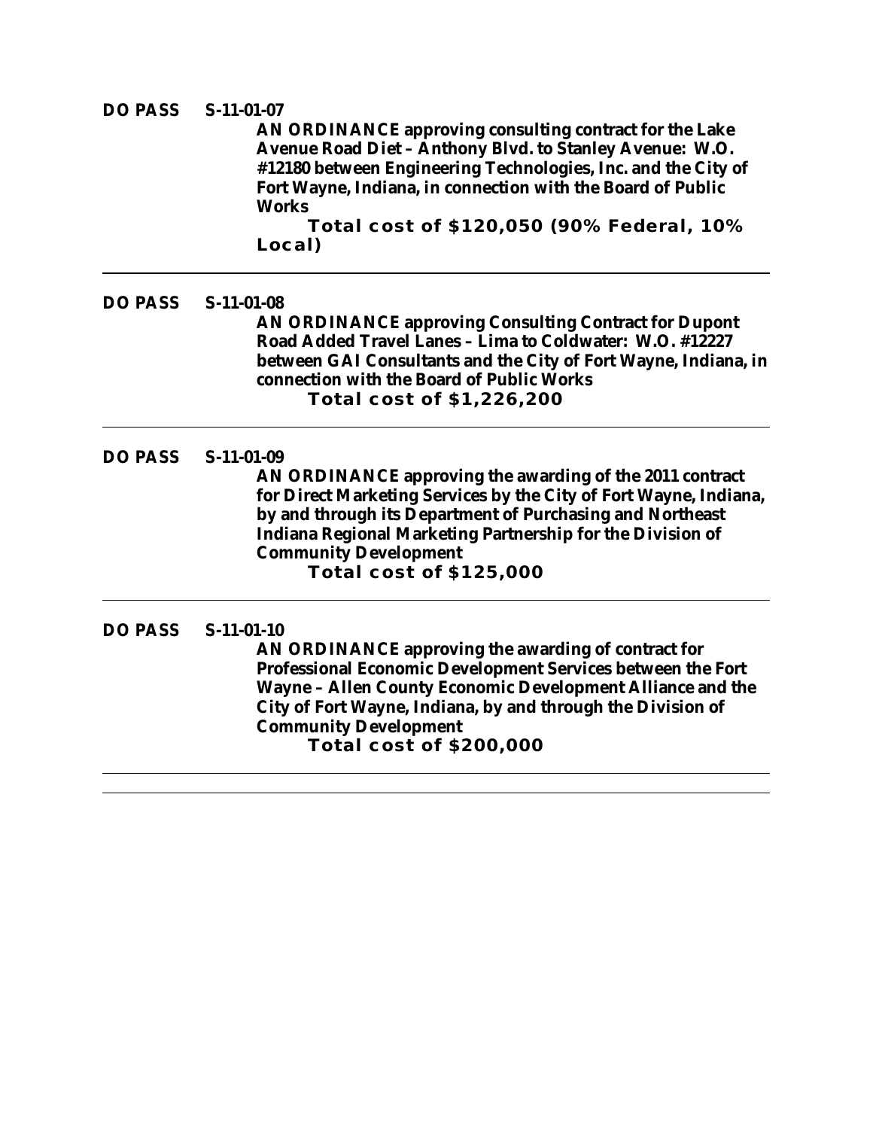#### **DO PASS S-11-01-07**

**AN ORDINANCE approving consulting contract for the Lake Avenue Road Diet – Anthony Blvd. to Stanley Avenue: W.O. #12180 between Engineering Technologies, Inc. and the City of Fort Wayne, Indiana, in connection with the Board of Public Works**

**Total cost of \$120,050 (90% Federal, 10% Local)**

**DO PASS S-11-01-08 AN ORDINANCE approving Consulting Contract for Dupont Road Added Travel Lanes – Lima to Coldwater: W.O. #12227 between GAI Consultants and the City of Fort Wayne, Indiana, in connection with the Board of Public Works Total cost of \$1,226,200**

**DO PASS S-11-01-09**

**AN ORDINANCE approving the awarding of the 2011 contract for Direct Marketing Services by the City of Fort Wayne, Indiana, by and through its Department of Purchasing and Northeast Indiana Regional Marketing Partnership for the Division of Community Development Total cost of \$125,000**

#### **DO PASS S-11-01-10**

**AN ORDINANCE approving the awarding of contract for Professional Economic Development Services between the Fort Wayne – Allen County Economic Development Alliance and the City of Fort Wayne, Indiana, by and through the Division of Community Development Total cost of \$200,000**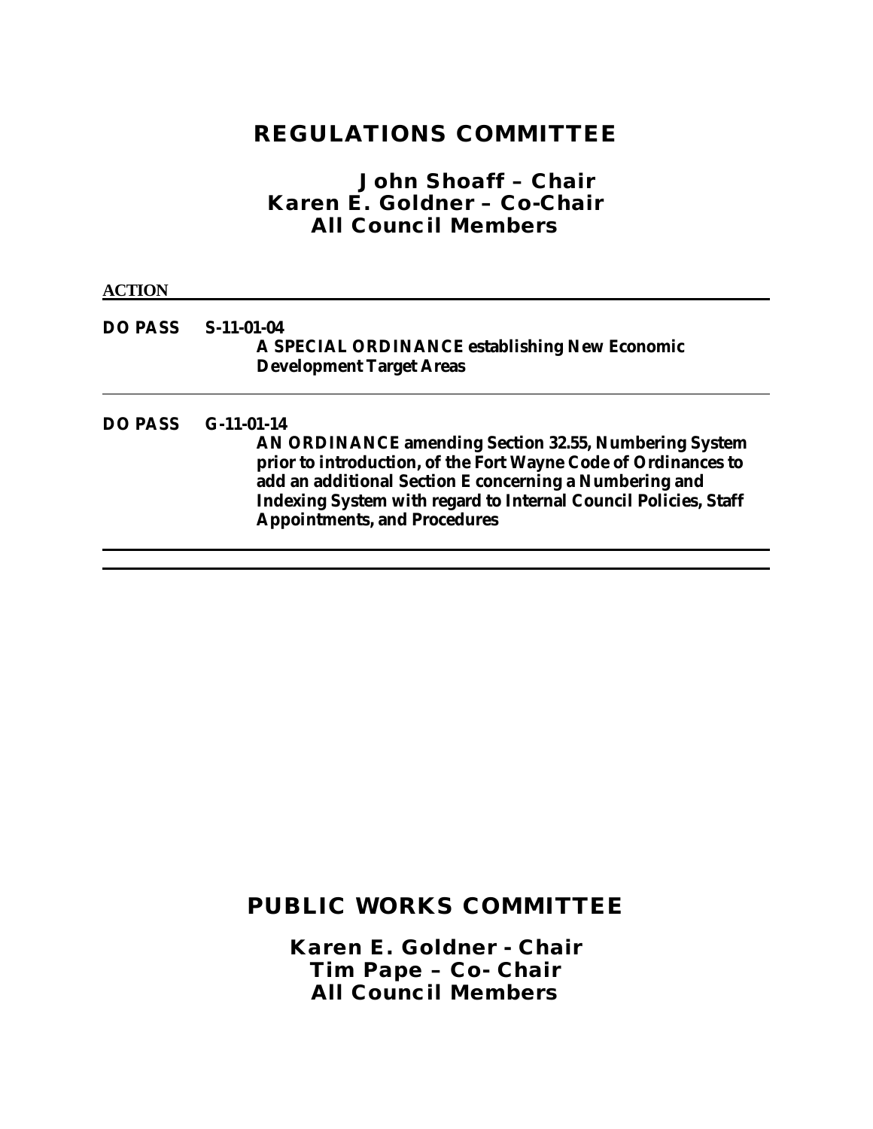### **REGULATIONS COMMITTEE**

### *John Shoaff – Chair Karen E. Goldner – Co-Chair All Council Members*

#### **ACTION**

#### **DO PASS S-11-01-04 A SPECIAL ORDINANCE establishing New Economic Development Target Areas**

#### **DO PASS G-11-01-14**

**AN ORDINANCE amending Section 32.55, Numbering System prior to introduction, of the Fort Wayne Code of Ordinances to add an additional Section E concerning a Numbering and Indexing System with regard to Internal Council Policies, Staff Appointments, and Procedures**

## **PUBLIC WORKS COMMITTEE**

*Karen E. Goldner - Chair Tim Pape – Co- Chair All Council Members*